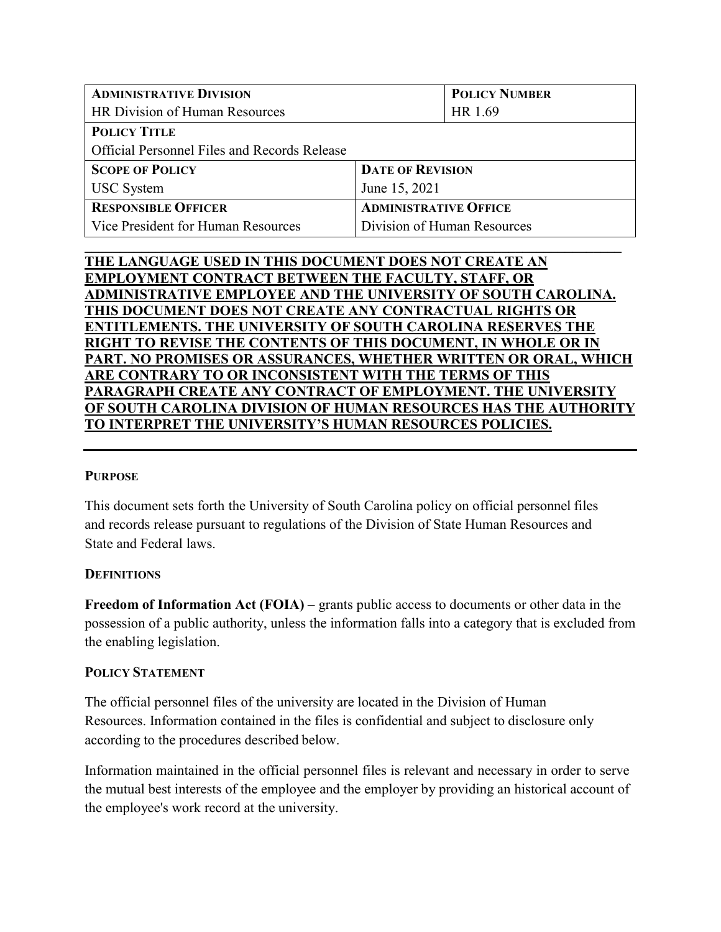| <b>ADMINISTRATIVE DIVISION</b>                      |                              | <b>POLICY NUMBER</b> |
|-----------------------------------------------------|------------------------------|----------------------|
| HR Division of Human Resources                      |                              | HR 1.69              |
| <b>POLICY TITLE</b>                                 |                              |                      |
| <b>Official Personnel Files and Records Release</b> |                              |                      |
| <b>SCOPE OF POLICY</b>                              | <b>DATE OF REVISION</b>      |                      |
| <b>USC</b> System                                   | June 15, 2021                |                      |
| <b>RESPONSIBLE OFFICER</b>                          | <b>ADMINISTRATIVE OFFICE</b> |                      |
| Vice President for Human Resources                  | Division of Human Resources  |                      |

**\_\_\_\_\_\_\_\_\_\_\_\_\_\_\_\_\_\_\_\_\_\_\_\_\_\_\_\_\_\_\_\_\_\_\_\_\_\_\_\_\_\_\_\_\_\_\_\_\_\_\_\_\_\_\_\_\_\_\_\_\_\_\_\_\_\_\_\_\_\_\_\_\_\_\_\_**

| THE LANGUAGE USED IN THIS DOCUMENT DOES NOT CREATE AN                |
|----------------------------------------------------------------------|
| <b>EMPLOYMENT CONTRACT BETWEEN THE FACULTY, STAFF, OR</b>            |
| ADMINISTRATIVE EMPLOYEE AND THE UNIVERSITY OF SOUTH CAROLINA.        |
| THIS DOCUMENT DOES NOT CREATE ANY CONTRACTUAL RIGHTS OR              |
| <b>ENTITLEMENTS. THE UNIVERSITY OF SOUTH CAROLINA RESERVES THE</b>   |
| <b>RIGHT TO REVISE THE CONTENTS OF THIS DOCUMENT, IN WHOLE OR IN</b> |
| PART. NO PROMISES OR ASSURANCES, WHETHER WRITTEN OR ORAL, WHICH      |
| ARE CONTRARY TO OR INCONSISTENT WITH THE TERMS OF THIS               |
| PARAGRAPH CREATE ANY CONTRACT OF EMPLOYMENT. THE UNIVERSITY          |
| OF SOUTH CAROLINA DIVISION OF HUMAN RESOURCES HAS THE AUTHORITY      |
| TO INTERPRET THE UNIVERSITY'S HUMAN RESOURCES POLICIES.              |
|                                                                      |

# **PURPOSE**

This document sets forth the University of South Carolina policy on official personnel files and records release pursuant to regulations of the Division of State Human Resources and State and Federal laws.

# **DEFINITIONS**

**Freedom of Information Act (FOIA)** – grants public access to documents or other data in the possession of a public authority, unless the information falls into a category that is excluded from the enabling legislation.

# **POLICY STATEMENT**

The official personnel files of the university are located in the Division of Human Resources. Information contained in the files is confidential and subject to disclosure only according to the procedures described below.

Information maintained in the official personnel files is relevant and necessary in order to serve the mutual best interests of the employee and the employer by providing an historical account of the employee's work record at the university.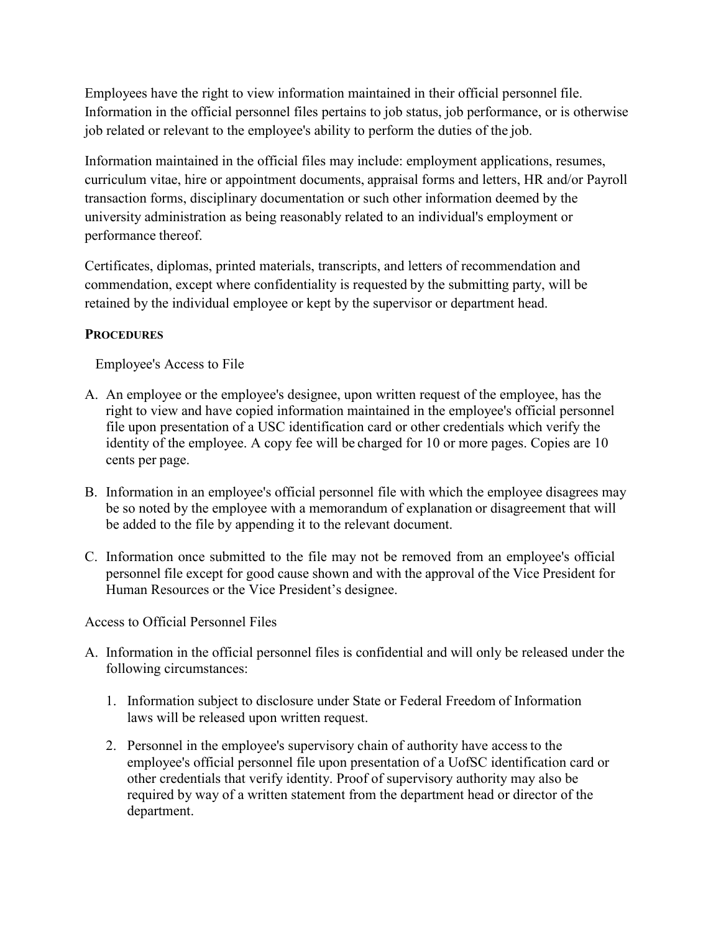Employees have the right to view information maintained in their official personnel file. Information in the official personnel files pertains to job status, job performance, or is otherwise job related or relevant to the employee's ability to perform the duties of the job.

Information maintained in the official files may include: employment applications, resumes, curriculum vitae, hire or appointment documents, appraisal forms and letters, HR and/or Payroll transaction forms, disciplinary documentation or such other information deemed by the university administration as being reasonably related to an individual's employment or performance thereof.

Certificates, diplomas, printed materials, transcripts, and letters of recommendation and commendation, except where confidentiality is requested by the submitting party, will be retained by the individual employee or kept by the supervisor or department head.

# **PROCEDURES**

Employee's Access to File

- A. An employee or the employee's designee, upon written request of the employee, has the right to view and have copied information maintained in the employee's official personnel file upon presentation of a USC identification card or other credentials which verify the identity of the employee. A copy fee will be charged for 10 or more pages. Copies are 10 cents per page.
- B. Information in an employee's official personnel file with which the employee disagrees may be so noted by the employee with a memorandum of explanation or disagreement that will be added to the file by appending it to the relevant document.
- C. Information once submitted to the file may not be removed from an employee's official personnel file except for good cause shown and with the approval of the Vice President for Human Resources or the Vice President's designee.

Access to Official Personnel Files

- A. Information in the official personnel files is confidential and will only be released under the following circumstances:
	- 1. Information subject to disclosure under State or Federal Freedom of Information laws will be released upon written request.
	- 2. Personnel in the employee's supervisory chain of authority have accessto the employee's official personnel file upon presentation of a UofSC identification card or other credentials that verify identity. Proof of supervisory authority may also be required by way of a written statement from the department head or director of the department.